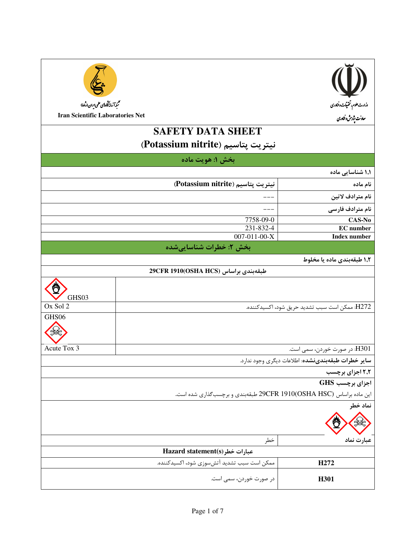| سمبدآ زمایشگاه پس علمی ایران (ماها)                                 |                                             |                                                            |
|---------------------------------------------------------------------|---------------------------------------------|------------------------------------------------------------|
| <b>Iran Scientific Laboratories Net</b>                             |                                             | وزارت علوم، تحتیقات و فناوری<br>معاونت پژوبش و فناوری      |
|                                                                     | <b>SAFETY DATA SHEET</b>                    |                                                            |
|                                                                     |                                             |                                                            |
|                                                                     | نيتريت پتاسيم (Potassium nitrite)           |                                                            |
|                                                                     | بخش ۱: هويت ماده                            |                                                            |
|                                                                     |                                             | ۱٫۱ شناسایی ماده                                           |
|                                                                     | نيتريت پتاسيم (Potassium nitrite)           | نام ماده                                                   |
|                                                                     |                                             | نام مترادف لاتين                                           |
|                                                                     |                                             | نام مترادف فارسی                                           |
|                                                                     | 7758-09-0                                   | CAS-No                                                     |
|                                                                     | 231-832-4                                   | <b>EC</b> number                                           |
|                                                                     | 007-011-00-X                                | <b>Index number</b>                                        |
|                                                                     | بخش ۲: خطرات شناساییشده                     |                                                            |
|                                                                     |                                             | ۱٫۲ طبقهبندی ماده یا مخلوط                                 |
|                                                                     | 29CFR 1910(OSHA HCS) طبقهبندی براساس        |                                                            |
| GHS03                                                               |                                             |                                                            |
| Ox Sol 2                                                            |                                             | H272: ممكن است سبب تشديد حريق شود، اكسيدكننده.             |
| GHS <sub>06</sub>                                                   |                                             |                                                            |
|                                                                     |                                             |                                                            |
| Acute Tox 3                                                         |                                             | H301: در صورت خوردن، سمي است.                              |
|                                                                     |                                             | <b>سایر خطرات طبقهبندینشده</b> : اطلاعات دیگری وجود ندارد. |
|                                                                     |                                             | ۲٫۲ اجزای برچسب                                            |
|                                                                     |                                             | اجزای برچسب GHS                                            |
| این ماده براساس (OSHA HSC)29CFR 1910 طبقهبندی و برچسبگذاری شده است. |                                             |                                                            |
|                                                                     |                                             | نماد خطر                                                   |
|                                                                     |                                             |                                                            |
|                                                                     | خطر                                         | عبارت نماد                                                 |
|                                                                     | Hazard statement(s) عبارات خطر              |                                                            |
|                                                                     | ممکن است سبب تشدید آتشسوزی شود، اکسیدکننده. | H <sub>272</sub>                                           |
|                                                                     | در صورت خوردن، سمی است.                     | H301                                                       |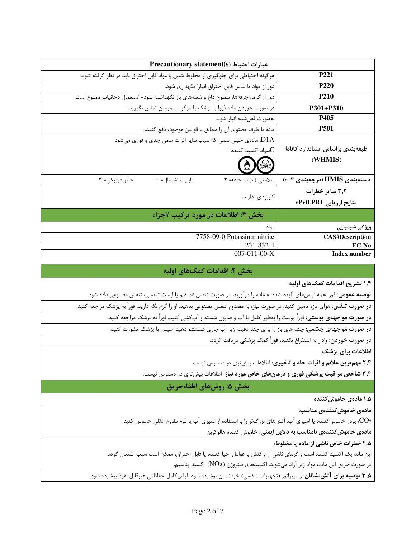| Precautionary statement(s) عبارات احتياط                                                        |                                             |
|-------------------------------------------------------------------------------------------------|---------------------------------------------|
| هرگونه احتیاطی برای جلوگیری از مخلوط شدن با مواد قابل احتراق باید در نظر گرفته شود.             | <b>P221</b>                                 |
| دور از مواد یا لباس قابل احتراق انبار/ نگهداری شود.                                             | P <sub>220</sub>                            |
| دور از گرما، جرقهها، سطوح داغ و شعلههای باز نگهداشته شود- استعمال دخانیات ممنوع است.            | <b>P210</b>                                 |
| در صورت خوردن ماده فورا با پزشک یا مرکز مسمومین تماس بگیرید.                                    | P301+P310                                   |
| بەصورت قفلشده انبار شود.                                                                        | P405                                        |
| ماده یا ظرف محتوی آن را مطابق با قوانین موجود، دفع کنید.                                        | <b>P501</b>                                 |
| ا ماده یخیلی سمی که سبب سایر اثرات سمی جدی و فوری میشود. $\rm p1A$<br>مواد اکسید کننده: $\rm C$ | طبقهبندى براساس استاندارد كانادا<br>(WHMIS) |
| قابليت اشتعال= ٠<br>سلامتی (اثرات حاد)= ۲<br>خطر فيزيكي= ٣                                      | دستەبندى HMIS (درجەبندى ۴−۰)                |
|                                                                                                 | ۳٫۲ سایر خطرات                              |
| کاربر دی ندارند.                                                                                | نتايج ارزيابي vPvB.PBT                      |
| بخش ٣: اطلاعات در مورد تركيب /اجزاء                                                             |                                             |
| مواد                                                                                            | ویژگی شیمیایی                               |
| 7758-09-0 Potassium nitrite                                                                     | <b>CAS#Description</b>                      |
| 231-832-4                                                                                       | EC-No                                       |
| $007-011-00-X$                                                                                  | <b>Index number</b>                         |

## بخش ۴: اقدامات کمکهای اولیه

۱٫۴ تشریح اقدامات کمکهای اولیه

**توصیه عمومی:** فورا همه لباسهای آلوده شده به ماده را درآورید. در صورت تنفس نامنظم یا ایست تنفسی، تنفس مصنوعی داده شود.

**در صورت تنفس**: هوای تازه تامین کنید. در صورت نیاز، به مصدوم تنفس مصنوعی بدهید. او را گرم نگه دارید. فوراً به پزشک مراجعه کنید.

**در صورت مواجههی پوستی:** فوراً پوست را بهطور کامل با آب و صابون شسته و آبکشی کنید. فوراً به پزشک مراجعه کنید.

**در صورت مواجههی چشمی:** چشمهای باز را برای چند دقیقه زیر آب جاری شستشو دهید. سپس با پزشک مشورت کنید.

**در صورت خوردن**: وادار به استفراغ نکنید، فوراً کمک پزشکی دریافت گردد.

اطلاعات برای پزشک

۲٫۴ مهم ترین علائم و اثرات حاد و تاخیری: اطلاعات بیش تری در دسترس نیست.

**۳٫۴ شاخص مراقبت پزشکی فوری و درمانهای خاص مورد نیاز**: اطلاعات بیشتری در دسترس نیست.

## بخش ۵: روشهای اطفاءحریق

۱٫۵ مادەي خاموش *ك*نندە

مادەي خاموش كنندەي مناسب:

پودر خاموش کننده یا اسپری آب. آتشهای بزرگتر را با استفاده از اسپری آب یا فوم مقاوم الکلی خاموش کنید. $\rm CO_{2}$ 

مادەي خاموش كنندەي نامناسب به دلايل ايمنى: خاموش كننده هالوكربن

۲٫۵ خطرات خاص ناشی از ماده یا مخلوط:

این ماده یک اکسید کننده است و گرمای ناشی از واکنش با عوامل احیا کننده یا قابل احتراق، ممکن است سبب اشتعال گردد.

در صورت حریق این ماده، مواد زیر آزاد میشوند: اکسیدهای نیتروژن (NOx). اکسید پتاسیم.

**۳٫۵ توصیه برای آتشنشانان**: رسپیراتور (تجهیزات تنفسی) خودتامین پوشیده شود. لباس *کامل حفاظتی غیر*قابل نفوذ پوشیده شود.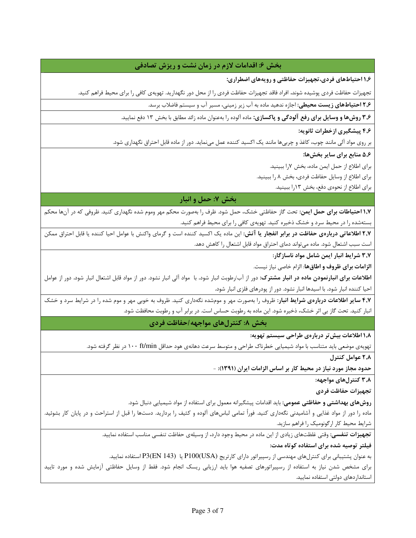## بخش ۶: اقدامات لازم در زمان نشت و ریزش تصادفی

۱٫۶ احتیاطهای فردی،تجهیزات حفاظتی و رویههای اضطراری:

تجهیزات حفاظت فردی پوشیده شوند. افراد فاقد تجهیزات حفاظت فردی را از محل دور نگهدارید. تهویهی کافی را برای محیط فراهم کنید.

**۲٫۶ احتیاطهای زیست محیطی:** اجازه ندهید ماده به آب زیر زمینی، مسیر آب و سیستم فاضلاب برسد.

۳٫۶ **روشها و وسایل برای رفع آلودگی و پاکسازی:** ماده آلوده را بهعنوان ماده زائد مطابق با بخش ۱۳ دفع نمایید.

۴٫۶ پیشگیری ازخطرات ثانویه:

بر روی مواد آلی مانند چوب، کاغذ و چربیها مانند یک اکسید کننده عمل مینماید. دور از ماده قابل احتراق نگهداری شود.

۵٫۶ منابع برای سایر بخشها:

براي اطلاع از حمل ايمن ماده، بخش لارا ببينيد.

برای اطلاع از وسایل حفاظت فردی، بخش ۸ را ببینید.

برای اطلاع از نحوهی دفع، بخش ۱۳را ببینید.

## بخش ۷: حمل و انبار

**۱٫۷ احتیاطات برای حمل ایمن:** تحت گاز حفاظتی خشک، حمل شود. ظرف را بهصورت محکم مهر وموم شده نگهداری کنید. ظروفی که در آنها محکم بستهشده را در محیط سرد و خشک ذخیره کنید. تهویهی کافی را برای محیط فراهم کنید.

**۲٫۷ اطلاعاتی دربارهی حفاظت در برابر انفجار یا آتش**: این ماده یک اکسید کننده است و گرمای واکنش با عوامل احیا کننده یا قابل احتراق ممکن است سبب اشتعال شود. ماده میتواند دمای احتراق مواد قابل اشتعال را کاهش دهد.

3,7 شرايط انبار ايمن شامل مواد ناسازگار:

**الزامات برای ظروف و اطاق ها**: الزام خاصی نیاز نیست.

**اطلاعات برای انبارنمودن ماده در انبار مشترک**: دور از آب/رطوبت انبار شود. با مواد آلی انبار نشود. دور از مواد قابل اشتعال انبار شود. دور از عوامل احیا کننده انبار شود. با اسیدها انبار نشود. دور از پودرهای فلزی انبار شود.

۴٫۷ سایر اطلاعات دربارهی شرایط انبار: ظروف را بهصورت مهر و مومشده نگهداری کنید. ظروف به خوبی مهر و موم شده را در شرایط سرد و خشک انبار کنید. تحت گاز بی اثر خشک، ذخیره شود. این ماده به رطوبت حساس است. در برابر آب و رطوبت محافظت شود.

بخش ٨: كنترل هاي مواجهه /حفاظت فردي

۱٫۸ اطلاعات بیش تر دربارهی طراحی سیستم تهویه:

تهویهی موضعی باید متناسب با مواد شیمیایی خطرناک طراحی و متوسط سرعت دهانهی هود حداقل ۱۰۰ ft/min در نظر گرفته شود.

۲٫۸ عوامل کنترل

حدود مجاز مورد نیاز در محیط کار بر اساس الزامات ایران (۱۳۹۱): -

۳٫۸ کنترلهای مواجهه:

تجهيزات حفاظت فردى

**روشهای بهداشتی و حفاظتی عمومی**: باید اقدامات پیشگیرانه معمول برای استفاده از مواد شیمیایی دنبال شود.

ماده را دور از مواد غذایی و آشامیدنی نگهداری کنید. فوراً تمامی لباسهای آلوده و کثیف را بردارید. دستها را قبل از استراحت و در پایان کار بشوئید. شرایط محیط کار ارگونومیک را فراهم سازید.

ت**جهیزات تنفسی:** وقتی غلظتهای زیادی از این ماده در محیط وجود دارد، از وسیلهی حفاظت تنفسی مناسب استفاده نمایید.

فیلتر توصیه شده برای استفاده کوتاه مدت:

به عنوان پشتیبانی برای کنترلهای مهندسی از رسپیراتور دارای کارتریج (P100(USA یا P3(EN 143) استفاده نمایید.

برای مشخص شدن نیاز به استفاده از رسپیراتورهای تصفیه هوا باید ارزیابی ریسک انجام شود. فقط از وسایل حفاظتی آزمایش شده و مورد تایید استانداردهای دولتی استفاده نمایید.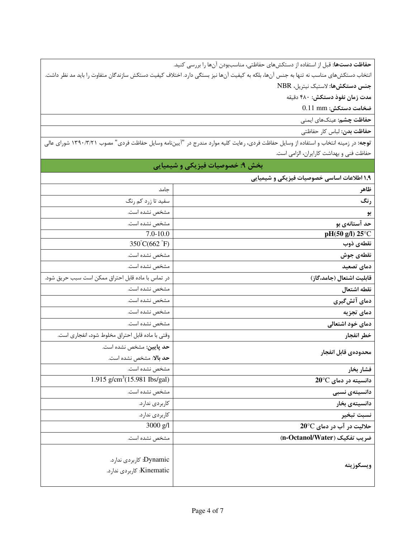حفاظت دستها: قبل از استفاده از دستكشهاى حفاظتى، مناسببودن آنها را بررسى كنيد.

انتخاب دستكش هاى مناسب نه تنها به جنس آنها، بلكه به كيفيت آنها نيز بستگى دارد. اختلاف كيفيت دستكش سازندگان متفاوت را بايد مد نظر داشت. جنس دستكشها: لاستيك نيتريل، NBR

مدت زمان نفوذ دستكش: ۴۸۰ دقیقه

ضخامت دستكش: 0.11 mm

**حفاظت چشم:** عینکھای ایمنی

حفاظت بدن: لباس كار حفاظتي

**توجه:** در زمینه انتخاب و استفاده از وسایل حفاظت فردی، رعایت کلیه موارد مندرج در "آیینiلمه وسایل حفاظت فردی" مصوب ۱۳۹۰/۳/۲۱ شورای عالی حفاظت فنی و بهداشت کارایران، الزامی است.

| <b> بخش ۹: خصوصیات فیزیکی و شیمیایی</b> |  |
|-----------------------------------------|--|
|-----------------------------------------|--|

| ۱٫۹ اطلاعات اساسی خصوصیات فیزیکی و شیمیایی |                                                      |
|--------------------------------------------|------------------------------------------------------|
| ظاهر                                       | جامد                                                 |
| رنگ                                        | سفید تا زرد کم رنگ                                   |
| بو                                         | مشخص نشده است.                                       |
| حد آستانهی بو                              | مشخص نشده است.                                       |
| pH(50 g/l) 25°C                            | $7.0 - 10.0$                                         |
| نقطەي ذوب                                  | 350°C(662°F)                                         |
| نقطهى جوش                                  | مشخص نشده است.                                       |
| دمای تصعید                                 | مشخص نشده است.                                       |
| قابلیت اشتعال (جامد،گاز)                   | در تماس با ماده قابل احتراق ممكن است سبب حريق شود.   |
| نقطه اشتعال                                | مشخص نشده است.                                       |
| دمای آتشگیری                               | مشخص نشده است.                                       |
| دمای تجزیه                                 | مشخص نشده است.                                       |
| دمای خود اشتعالی                           | مشخص نشده است.                                       |
| خطر انفجار                                 | وقتي با ماده قابل احتراق مخلوط شود، انفجاري است.     |
| محدودهى قابل انفجار                        | حد پایین: مشخص نشده است.                             |
|                                            | حد بالا: مشخص نشده است.                              |
| فشار بخار                                  | مشخص نشده است.                                       |
| دانسیته در دمای 20°C                       | 1.915 $g/cm^3$ (15.981 Ibs/gal)                      |
| دانسیتەی نسبی                              | مشخص نشده است.                                       |
| دانسيتەي بخار                              | كاربردى ندارد.                                       |
| نسبت تبخير                                 | كاربردى ندارد.                                       |
| حلالیت در آب در دمای 20°C                  | $3000$ g/l                                           |
| ضريب تفكيك (n-Octanol/Water)               | مشخص نشده است.                                       |
| ويسكوزيته                                  | Dynamic: كاربردى ندارد.<br>Kinematic: كاربردى ندارد. |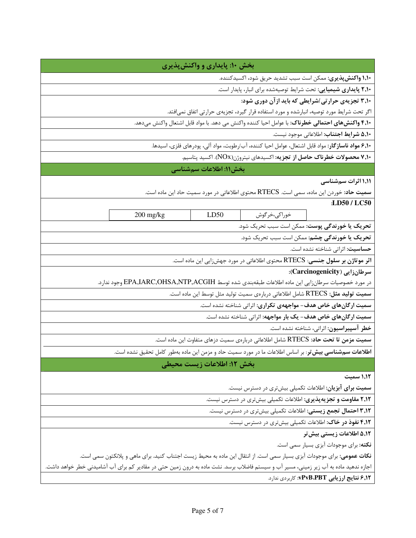| بخش ۱۰: پایداری و واکنشپذیری                                                                                                           |  |  |
|----------------------------------------------------------------------------------------------------------------------------------------|--|--|
| <b>۱٫۱۰ واکنش پذیری:</b> ممکن است سبب تشدید حریق شود، اکسیدکننده.                                                                      |  |  |
| ۲٫۱۰ پایداری شیمیایی: تحت شرایط توصیهشده برای انبار، پایدار است.                                                                       |  |  |
| ۳٫۱۰ تجزیهی حرارتی /شرایطی که باید ازآن دوری شود:                                                                                      |  |  |
| اگر تحت شرایط مورد توصیه، انبارشده و مورد استفاده قرار گیرد، تجزیهی حرارتی اتفاق نمیافتد.                                              |  |  |
| ۴٫۱۰ <b>واکنشهای احتمالی خطرناک</b> : با عوامل احیا کننده واکنش می دهد. با مواد قابل اشتعال واکنش میدهد.                               |  |  |
| ۵٬۱۰ شرایط اجتناب: اطلاعاتی موجود نیست.                                                                                                |  |  |
| ۶٬۱۰ <b>مواد ناساز گار</b> : مواد قابل اشتعال، عوامل احیا کننده، آب/رطوبت، مواد آلی، پودرهای فلزی، اسیدها.                             |  |  |
| <b>۷٬۱۰ محصولات خطرناک حاصل از تجزیه</b> : اکسیدهای نیتروژن(NOx). اکسید پتاسیم.                                                        |  |  |
| بخش١١: اطلاعات سمشناسي                                                                                                                 |  |  |
| ۱٬۱۱ اثرات سمشناسی                                                                                                                     |  |  |
| <b>سمیت حاد</b> : خوردن این ماده، سمی است. RTECS محتوی اطلاعاتی در مورد سمیت حاد این ماده است.                                         |  |  |
| :LD50 / LC50                                                                                                                           |  |  |
| 200 mg/kg<br>خوراكي،خرگوش<br>LD50                                                                                                      |  |  |
| تحريک يا خورندگي پوست: ممکن است سبب تحريک شود.                                                                                         |  |  |
| تحریک یا خورندگی چشم: ممکن است سبب تحریک شود.                                                                                          |  |  |
| حساسیت: اثراتی شناخته نشده است.                                                                                                        |  |  |
| اثر موتاژن بر سلول جنسی: RTECS محتوی اطلاعاتی در مورد جهشزایی این ماده است.                                                            |  |  |
| سرطان زایی (Carcinogenicity):                                                                                                          |  |  |
| در مورد خصوصیات سرطانزایی این ماده اطلاعات طبقهبندی شده توسط EPA,IARC,OHSA,NTP,ACGIH وجود ندارد.                                       |  |  |
| <b>سمیت تولید مثل: RTECS</b> شامل اطلاعاتی دربارەی سمیت تولید مثل توسط این ماده است.                                                   |  |  |
| سمیت ارگانهای خاص هدف- مواجههی تکراری: اثراتی شناخته نشده است.                                                                         |  |  |
| سمیت ارگانهای خاص هدف- یک بار مواجهه: اثراتی شناخته نشده است.                                                                          |  |  |
| خطر آسپیراسیون: اثراتی، شناخته نشده است.                                                                                               |  |  |
| <b>سمیت مزمن تا تحت حاد:</b> RTECS شامل اطلاعاتی دربارەی سمیت دزهای متفاوت این ماده است.                                               |  |  |
| <b>اطلاعات سمشناسی بیش تر</b> : بر اساس اطلاعات ما در مورد سمیت حاد و مزمن این ماده بهطور کامل تحقیق نشده است.                         |  |  |
| بخش ١٢: اطلاعات زيست محيطي                                                                                                             |  |  |
| ۱٬۱۲ سمیت                                                                                                                              |  |  |
| <b>سمیت برای آبزیان:</b> اطلاعات تکمیلی بیشتری در دسترس نیست.                                                                          |  |  |
| ۲٫۱۲ مقاومت و تجزیهپذیری: اطلاعات تکمیلی بیشتری در دسترس نیست.                                                                         |  |  |
| ۰٫۱۲ احتمال تجمع زیستی: اطلاعات تکمیلی بیشتری در دسترس نیست.                                                                           |  |  |
| ۴٫۱۲ نفوذ در خاک: اطلاعات تکمیلی بیشتری در دسترس نیست.                                                                                 |  |  |
| ۵٬۱۲ اطلاعات زیستی بیش تر                                                                                                              |  |  |
| نكته: براي موجودات آبزي بسيار سمي است.                                                                                                 |  |  |
| <b>نکات عمومی:</b> برای موجودات آبزی بسیار سمی است. از انتقال این ماده به محیط زیست اجتناب کنید. برای ماهی و پلانکتون سمی است.         |  |  |
| اجازه ندهید ماده به آب زیر زمینی، مسیر آب و سیستم فاضلاب برسد. نشت ماده به درون زمین حتی در مقادیر کم برای آب آشامیدنی خطر خواهد داشت. |  |  |
| ۶٫۱۲ <b>نتایج ارزیابی PvB،PBT</b> : کاربردی ندارد.                                                                                     |  |  |
|                                                                                                                                        |  |  |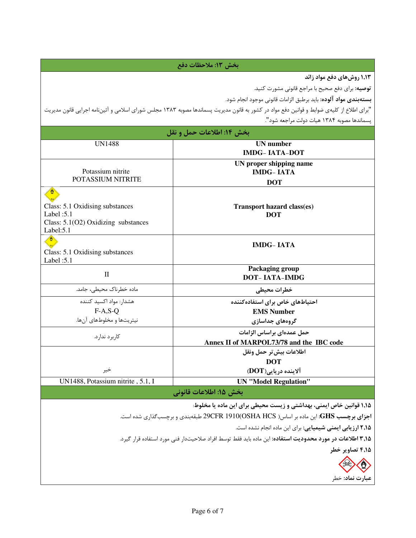| بخش ١٣: ملاحظات دفع                                       |                                                                                                                                           |  |
|-----------------------------------------------------------|-------------------------------------------------------------------------------------------------------------------------------------------|--|
|                                                           | 1,۱۳ روش های دفع مواد زائد                                                                                                                |  |
|                                                           | <b>توصیه:</b> برای دفع صحیح با مراجع قانونی مشورت کنید.                                                                                   |  |
|                                                           | <b>بستهبندي مواد آلوده:</b> بايد برطبق الزامات قانوني موجود انجام شود.                                                                    |  |
|                                                           | "براي اطلاع از كليهي ضوابط و قوانين دفع مواد در كشور به قانون مديريت پسماندها مصوبه ١٣٨٣ مجلس شوراي اسلامي و آئيننامه اجرايي قانون مديريت |  |
|                                                           | يسماندها مصوبه ١٣٨۴ هيات دولت مراجعه شود".                                                                                                |  |
|                                                           |                                                                                                                                           |  |
| UN1488                                                    | بخش ۱۴: اطلاعات حمل و نقل<br><b>UN</b> number                                                                                             |  |
|                                                           | <b>IMDG-IATA-DOT</b>                                                                                                                      |  |
|                                                           | UN proper shipping name                                                                                                                   |  |
| Potassium nitrite                                         | <b>IMDG-IATA</b>                                                                                                                          |  |
| POTASSIUM NITRITE                                         | <b>DOT</b>                                                                                                                                |  |
|                                                           |                                                                                                                                           |  |
| Class: 5.1 Oxidising substances                           | Transport hazard class(es)                                                                                                                |  |
| Label: $5.1$                                              | <b>DOT</b>                                                                                                                                |  |
| Class: $5.1(02)$ Oxidizing substances                     |                                                                                                                                           |  |
| Label: 5.1                                                |                                                                                                                                           |  |
|                                                           | <b>IMDG-IATA</b>                                                                                                                          |  |
| Class: 5.1 Oxidising substances                           |                                                                                                                                           |  |
| Label: 5.1                                                | Packaging group                                                                                                                           |  |
| $\mathbf{I}$                                              | <b>DOT-IATA-IMDG</b>                                                                                                                      |  |
| ماده خطرناک محیطی، جامد.                                  | خطرات محيطي                                                                                                                               |  |
| هشدار: مواد اکسید کننده                                   | احتیاطهای خاص برای استفاده کننده                                                                                                          |  |
| $F-A, S-O$                                                | <b>EMS Number</b>                                                                                                                         |  |
| نیتریتها و مخلوطهای آنها.                                 | گروههای جداسازی                                                                                                                           |  |
| کا, بر د ندار د.                                          | حمل عمدهای براساس الزامات                                                                                                                 |  |
|                                                           | Annex II of MARPOL73/78 and the IBC code                                                                                                  |  |
|                                                           | اطلاعات بيش تر حمل ونقل                                                                                                                   |  |
|                                                           | <b>DOT</b>                                                                                                                                |  |
| خير                                                       | آلاينده دريايي(DOT)                                                                                                                       |  |
| UN1488, Potassium nitrite, 5.1, I                         | <b>UN "Model Regulation"</b>                                                                                                              |  |
|                                                           | بخش ۱۵: اطلاعات قانونی                                                                                                                    |  |
|                                                           | ۱٬۱۵ قوانین خاص ایمنی، بهداشتی و زیست محیطی برای این ماده یا مخلوط:                                                                       |  |
|                                                           | اجزای برچسب GHS: این ماده بر اساس( OSHA HCS)05HA طبقهبندی و برچسبگذاری شده است.                                                           |  |
| ۲٫۱۵ ارزیابی ایمنی شیمیایی: برای این ماده انجام نشده است. |                                                                                                                                           |  |
|                                                           | ۴٫۱۵ اطلاعات در مورد محدودیت استفاده: این ماده باید فقط توسط افراد صلاحیتدار فنی مورد استفاده قرار گیرد.                                  |  |
|                                                           | ۴٬۱۵ تصاویر خطر                                                                                                                           |  |
|                                                           |                                                                                                                                           |  |
|                                                           | عبارت نماد: خطر                                                                                                                           |  |